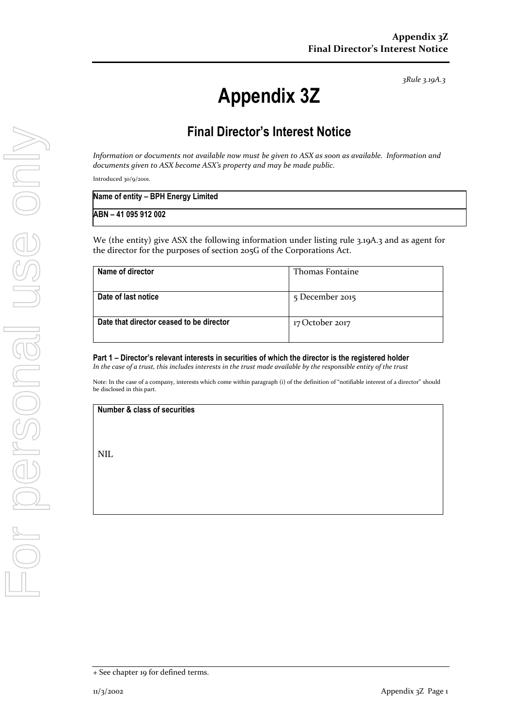*3Rule 3.19A.3*

## **Appendix 3Z**

## **Final Director's Interest Notice**

*Information or documents not available now must be given to ASX as soon as available. Information and documents given to ASX become ASX's property and may be made public.*

Introduced 30/9/2001.

| Name of entity - BPH Energy Limited |  |
|-------------------------------------|--|
| ABN - 41 095 912 002                |  |

We (the entity) give ASX the following information under listing rule 3.19A.3 and as agent for the director for the purposes of section 205G of the Corporations Act.

| Name of director                         | <b>Thomas Fontaine</b> |
|------------------------------------------|------------------------|
|                                          |                        |
| Date of last notice                      | 5 December 2015        |
|                                          |                        |
|                                          |                        |
| Date that director ceased to be director | 17 October 2017        |
|                                          |                        |
|                                          |                        |

**Part 1 – Director's relevant interests in securities of which the director is the registered holder** *In the case of a trust, this includes interests in the trust made available by the responsible entity of the trust*

Note: In the case of a company, interests which come within paragraph (i) of the definition of "notifiable interest of a director" should be disclosed in this part.

**Number & class of securities**

NIL

<sup>+</sup> See chapter 19 for defined terms.